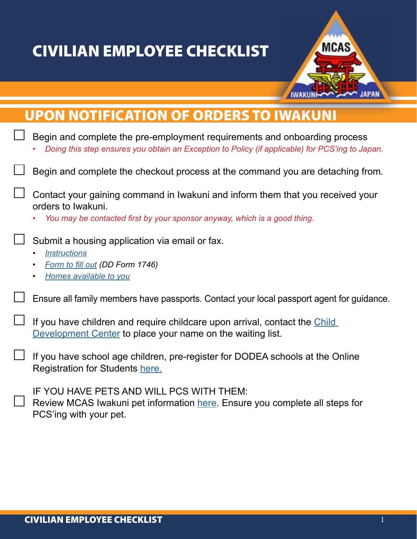## CIVILIAN EMPLOYEE CHECKLIST



| <b>UPON NOTIFICATION OF ORDERS TO IWAKUNI</b>                                                                                                                                     |
|-----------------------------------------------------------------------------------------------------------------------------------------------------------------------------------|
| Begin and complete the pre-employment requirements and onboarding process<br>Doing this step ensures you obtain an Exception to Policy (if applicable) for PCS'ing to Japan.      |
| Begin and complete the checkout process at the command you are detaching from.                                                                                                    |
| Contact your gaining command in Iwakuni and inform them that you received your<br>orders to Iwakuni.<br>You may be contacted first by your sponsor anyway, which is a good thing. |
| Submit a housing application via email or fax.<br><b>Instructions</b><br>$\bullet$<br>Form to fill out (DD Form 1746)<br>Homes available to you<br>$\bullet$                      |
| Ensure all family members have passports. Contact your local passport agent for guidance.                                                                                         |
| If you have children and require childcare upon arrival, contact the Child<br>Development Center to place your name on the waiting list.                                          |
| If you have school age children, pre-register for DODEA schools at the Online<br>Registration for Students here.                                                                  |
| IF YOU HAVE PETS AND WILL PCS WITH THEM:<br>Review MCAS Iwakuni pet information here. Ensure you complete all steps for<br>PCS'ing with your pet.                                 |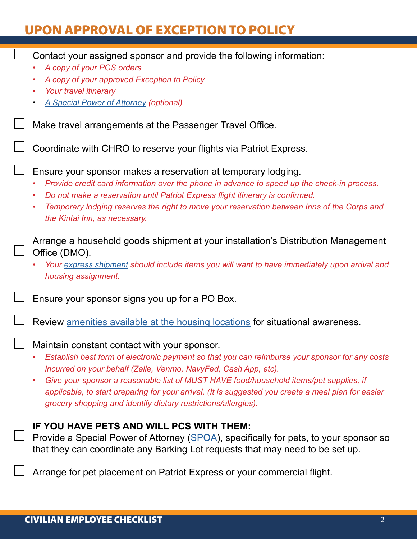## UPON APPROVAL OF EXCEPTION TO POLICY

| Contact your assigned sponsor and provide the following information:<br>A copy of your PCS orders                                                                                                                                                                                                                                                                                                        |
|----------------------------------------------------------------------------------------------------------------------------------------------------------------------------------------------------------------------------------------------------------------------------------------------------------------------------------------------------------------------------------------------------------|
| A copy of your approved Exception to Policy                                                                                                                                                                                                                                                                                                                                                              |
| Your travel itinerary                                                                                                                                                                                                                                                                                                                                                                                    |
| <b>A Special Power of Attorney (optional)</b>                                                                                                                                                                                                                                                                                                                                                            |
| Make travel arrangements at the Passenger Travel Office.                                                                                                                                                                                                                                                                                                                                                 |
| Coordinate with CHRO to reserve your flights via Patriot Express.                                                                                                                                                                                                                                                                                                                                        |
| Ensure your sponsor makes a reservation at temporary lodging.<br>Provide credit card information over the phone in advance to speed up the check-in process.<br>Do not make a reservation until Patriot Express flight itinerary is confirmed.<br>$\bullet$<br>Temporary lodging reserves the right to move your reservation between Inns of the Corps and<br>$\bullet$<br>the Kintai Inn, as necessary. |
| Arrange a household goods shipment at your installation's Distribution Management<br>Office (DMO).                                                                                                                                                                                                                                                                                                       |
| Your express shipment should include items you will want to have immediately upon arrival and<br>housing assignment.                                                                                                                                                                                                                                                                                     |
| Ensure your sponsor signs you up for a PO Box.                                                                                                                                                                                                                                                                                                                                                           |
| Review amenities available at the housing locations for situational awareness.                                                                                                                                                                                                                                                                                                                           |
| Maintain constant contact with your sponsor.<br>Establish best form of electronic payment so that you can reimburse your sponsor for any costs<br>$\bullet$                                                                                                                                                                                                                                              |
| incurred on your behalf (Zelle, Venmo, NavyFed, Cash App, etc).                                                                                                                                                                                                                                                                                                                                          |
| Give your sponsor a reasonable list of MUST HAVE food/household items/pet supplies, if<br>$\bullet$<br>applicable, to start preparing for your arrival. (It is suggested you create a meal plan for easier<br>grocery shopping and identify dietary restrictions/allergies).                                                                                                                             |
| IF YOU HAVE PETS AND WILL PCS WITH THEM:                                                                                                                                                                                                                                                                                                                                                                 |
| Provide a Special Power of Attorney (SPOA), specifically for pets, to your sponsor so<br>that they can coordinate any Barking Lot requests that may need to be set up.                                                                                                                                                                                                                                   |
| Arrange for pet placement on Patriot Express or your commercial flight.                                                                                                                                                                                                                                                                                                                                  |